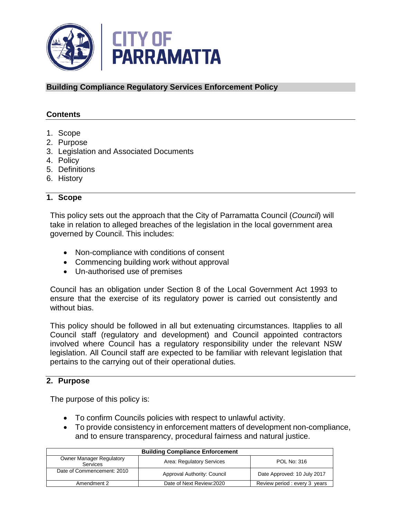

**Building Compliance Regulatory Services Enforcement Policy**

### **Contents**

- 1. Scope
- 2. Purpose
- 3. Legislation and Associated Documents
- 4. Policy
- 5. Definitions
- 6. History

#### **1. Scope**

This policy sets out the approach that the City of Parramatta Council (*Council*) will take in relation to alleged breaches of the legislation in the local government area governed by Council. This includes:

- Non-compliance with conditions of consent
- Commencing building work without approval
- Un-authorised use of premises

Council has an obligation under Section 8 of the Local Government Act 1993 to ensure that the exercise of its regulatory power is carried out consistently and without bias.

This policy should be followed in all but extenuating circumstances. Itapplies to all Council staff (regulatory and development) and Council appointed contractors involved where Council has a regulatory responsibility under the relevant NSW legislation. All Council staff are expected to be familiar with relevant legislation that pertains to the carrying out of their operational duties.

#### **2. Purpose**

The purpose of this policy is:

- To confirm Councils policies with respect to unlawful activity.
- To provide consistency in enforcement matters of development non-compliance, and to ensure transparency, procedural fairness and natural justice.

| <b>Building Compliance Enforcement</b>      |                             |                              |
|---------------------------------------------|-----------------------------|------------------------------|
| <b>Owner Manager Regulatory</b><br>Services | Area: Regulatory Services   | POL No: 316                  |
| Date of Commencement: 2010                  | Approval Authority: Council | Date Approved: 10 July 2017  |
| Amendment 2                                 | Date of Next Review: 2020   | Review period: every 3 years |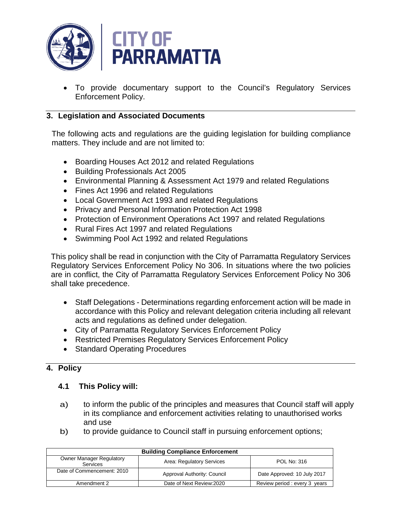

• To provide documentary support to the Council's Regulatory Services Enforcement Policy.

## **3. Legislation and Associated Documents**

The following acts and regulations are the guiding legislation for building compliance matters. They include and are not limited to:

- Boarding Houses Act 2012 and related Regulations
- Building Professionals Act 2005
- Environmental Planning & Assessment Act 1979 and related Regulations
- Fines Act 1996 and related Regulations
- Local Government Act 1993 and related Regulations
- Privacy and Personal Information Protection Act 1998
- Protection of Environment Operations Act 1997 and related Regulations
- Rural Fires Act 1997 and related Regulations
- Swimming Pool Act 1992 and related Regulations

This policy shall be read in conjunction with the City of Parramatta Regulatory Services Regulatory Services Enforcement Policy No 306. In situations where the two policies are in conflict, the City of Parramatta Regulatory Services Enforcement Policy No 306 shall take precedence.

- Staff Delegations Determinations regarding enforcement action will be made in accordance with this Policy and relevant delegation criteria including all relevant acts and regulations as defined under delegation.
- City of Parramatta Regulatory Services Enforcement Policy
- Restricted Premises Regulatory Services Enforcement Policy
- Standard Operating Procedures

## **4. Policy**

#### **4.1 This Policy will:**

- a) to inform the public of the principles and measures that Council staff will apply in its compliance and enforcement activities relating to unauthorised works and use
- b) to provide guidance to Council staff in pursuing enforcement options;

| <b>Building Compliance Enforcement</b>             |                             |                              |
|----------------------------------------------------|-----------------------------|------------------------------|
| <b>Owner Manager Regulatory</b><br><b>Services</b> | Area: Regulatory Services   | POL No: 316                  |
| Date of Commencement: 2010                         | Approval Authority: Council | Date Approved: 10 July 2017  |
| Amendment 2                                        | Date of Next Review: 2020   | Review period: every 3 years |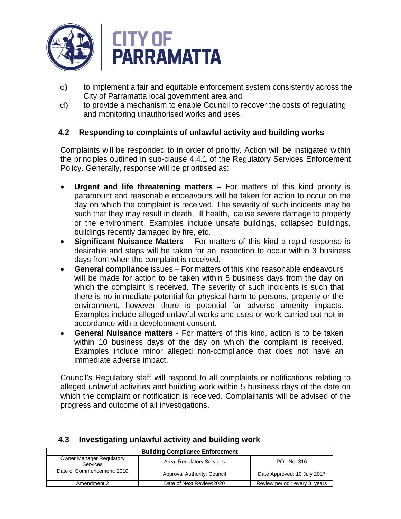

- c) to implement a fair and equitable enforcement system consistently across the City of Parramatta local government area and
- d) to provide a mechanism to enable Council to recover the costs of regulating and monitoring unauthorised works and uses.

### **4.2 Responding to complaints of unlawful activity and building works**

Complaints will be responded to in order of priority. Action will be instigated within the principles outlined in sub-clause 4.4.1 of the Regulatory Services Enforcement Policy. Generally, response will be prioritised as:

- **Urgent and life threatening matters** For matters of this kind priority is paramount and reasonable endeavours will be taken for action to occur on the day on which the complaint is received. The severity of such incidents may be such that they may result in death, ill health, cause severe damage to property or the environment. Examples include unsafe buildings, collapsed buildings, buildings recently damaged by fire, etc.
- **Significant Nuisance Matters** For matters of this kind a rapid response is desirable and steps will be taken for an inspection to occur within 3 business days from when the complaint is received.
- **General compliance** issues For matters of this kind reasonable endeavours will be made for action to be taken within 5 business days from the day on which the complaint is received. The severity of such incidents is such that there is no immediate potential for physical harm to persons, property or the environment, however there is potential for adverse amenity impacts. Examples include alleged unlawful works and uses or work carried out not in accordance with a development consent.
- **General Nuisance matters** For matters of this kind, action is to be taken within 10 business days of the day on which the complaint is received. Examples include minor alleged non-compliance that does not have an immediate adverse impact.

Council's Regulatory staff will respond to all complaints or notifications relating to alleged unlawful activities and building work within 5 business days of the date on which the complaint or notification is received. Complainants will be advised of the progress and outcome of all investigations.

| <b>Building Compliance Enforcement</b>             |                             |                              |
|----------------------------------------------------|-----------------------------|------------------------------|
| <b>Owner Manager Regulatory</b><br><b>Services</b> | Area: Regulatory Services   | POL No: 316                  |
| Date of Commencement: 2010                         | Approval Authority: Council | Date Approved: 10 July 2017  |
| Amendment 2                                        | Date of Next Review: 2020   | Review period: every 3 years |

## **4.3 Investigating unlawful activity and building work**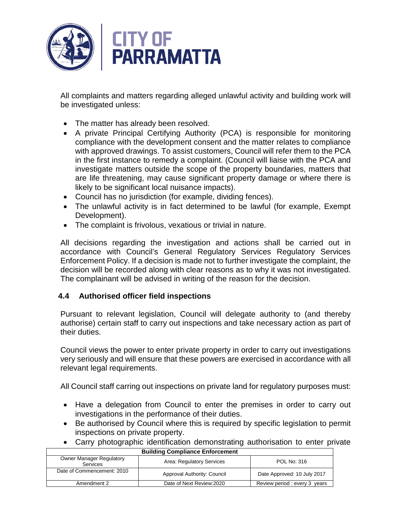

All complaints and matters regarding alleged unlawful activity and building work will be investigated unless:

- The matter has already been resolved.
- A private Principal Certifying Authority (PCA) is responsible for monitoring compliance with the development consent and the matter relates to compliance with approved drawings. To assist customers, Council will refer them to the PCA in the first instance to remedy a complaint. (Council will liaise with the PCA and investigate matters outside the scope of the property boundaries, matters that are life threatening, may cause significant property damage or where there is likely to be significant local nuisance impacts).
- Council has no jurisdiction (for example, dividing fences).
- The unlawful activity is in fact determined to be lawful (for example, Exempt Development).
- The complaint is frivolous, vexatious or trivial in nature.

All decisions regarding the investigation and actions shall be carried out in accordance with Council's General Regulatory Services Regulatory Services Enforcement Policy. If a decision is made not to further investigate the complaint, the decision will be recorded along with clear reasons as to why it was not investigated. The complainant will be advised in writing of the reason for the decision.

## **4.4 Authorised officer field inspections**

Pursuant to relevant legislation, Council will delegate authority to (and thereby authorise) certain staff to carry out inspections and take necessary action as part of their duties.

Council views the power to enter private property in order to carry out investigations very seriously and will ensure that these powers are exercised in accordance with all relevant legal requirements.

All Council staff carring out inspections on private land for regulatory purposes must:

- Have a delegation from Council to enter the premises in order to carry out investigations in the performance of their duties.
- Be authorised by Council where this is required by specific legislation to permit inspections on private property.
- Carry photographic identification demonstrating authorisation to enter private

| <b>Building Compliance Enforcement</b>             |                             |                              |
|----------------------------------------------------|-----------------------------|------------------------------|
| <b>Owner Manager Regulatory</b><br><b>Services</b> | Area: Regulatory Services   | POL No: 316                  |
| Date of Commencement: 2010                         | Approval Authority: Council | Date Approved: 10 July 2017  |
| Amendment 2                                        | Date of Next Review: 2020   | Review period: every 3 years |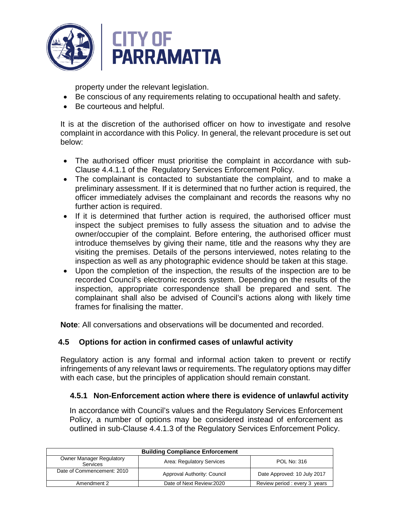

property under the relevant legislation.

- Be conscious of any requirements relating to occupational health and safety.
- Be courteous and helpful.

It is at the discretion of the authorised officer on how to investigate and resolve complaint in accordance with this Policy. In general, the relevant procedure is set out below:

- The authorised officer must prioritise the complaint in accordance with sub-Clause 4.4.1.1 of the Regulatory Services Enforcement Policy.
- The complainant is contacted to substantiate the complaint, and to make a preliminary assessment. If it is determined that no further action is required, the officer immediately advises the complainant and records the reasons why no further action is required.
- If it is determined that further action is required, the authorised officer must inspect the subject premises to fully assess the situation and to advise the owner/occupier of the complaint. Before entering, the authorised officer must introduce themselves by giving their name, title and the reasons why they are visiting the premises. Details of the persons interviewed, notes relating to the inspection as well as any photographic evidence should be taken at this stage.
- Upon the completion of the inspection, the results of the inspection are to be recorded Council's electronic records system. Depending on the results of the inspection, appropriate correspondence shall be prepared and sent. The complainant shall also be advised of Council's actions along with likely time frames for finalising the matter.

**Note**: All conversations and observations will be documented and recorded.

## **4.5 Options for action in confirmed cases of unlawful activity**

Regulatory action is any formal and informal action taken to prevent or rectify infringements of any relevant laws or requirements. The regulatory options may differ with each case, but the principles of application should remain constant.

## **4.5.1 Non-Enforcement action where there is evidence of unlawful activity**

In accordance with Council's values and the Regulatory Services Enforcement Policy, a number of options may be considered instead of enforcement as outlined in sub-Clause 4.4.1.3 of the Regulatory Services Enforcement Policy.

| <b>Building Compliance Enforcement</b>      |                             |                              |
|---------------------------------------------|-----------------------------|------------------------------|
| <b>Owner Manager Regulatory</b><br>Services | Area: Regulatory Services   | POL No: 316                  |
| Date of Commencement: 2010                  | Approval Authority: Council | Date Approved: 10 July 2017  |
| Amendment 2                                 | Date of Next Review: 2020   | Review period: every 3 years |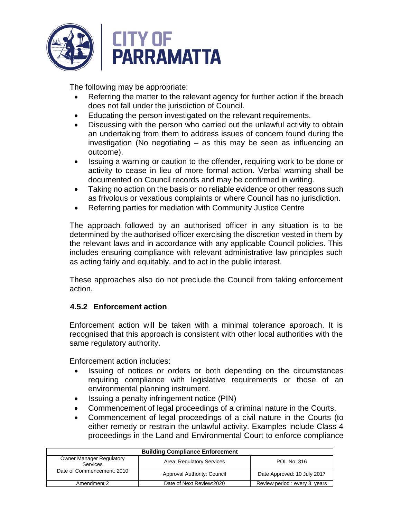

The following may be appropriate:

- Referring the matter to the relevant agency for further action if the breach does not fall under the jurisdiction of Council.
- Educating the person investigated on the relevant requirements.
- Discussing with the person who carried out the unlawful activity to obtain an undertaking from them to address issues of concern found during the investigation (No negotiating – as this may be seen as influencing an outcome).
- Issuing a warning or caution to the offender, requiring work to be done or activity to cease in lieu of more formal action. Verbal warning shall be documented on Council records and may be confirmed in writing.
- Taking no action on the basis or no reliable evidence or other reasons such as frivolous or vexatious complaints or where Council has no jurisdiction.
- Referring parties for mediation with Community Justice Centre

The approach followed by an authorised officer in any situation is to be determined by the authorised officer exercising the discretion vested in them by the relevant laws and in accordance with any applicable Council policies. This includes ensuring compliance with relevant administrative law principles such as acting fairly and equitably, and to act in the public interest.

These approaches also do not preclude the Council from taking enforcement action.

## **4.5.2 Enforcement action**

Enforcement action will be taken with a minimal tolerance approach. It is recognised that this approach is consistent with other local authorities with the same regulatory authority.

Enforcement action includes:

- Issuing of notices or orders or both depending on the circumstances requiring compliance with legislative requirements or those of an environmental planning instrument.
- Issuing a penalty infringement notice (PIN)
- Commencement of legal proceedings of a criminal nature in the Courts.
- Commencement of legal proceedings of a civil nature in the Courts (to either remedy or restrain the unlawful activity. Examples include Class 4 proceedings in the Land and Environmental Court to enforce compliance

| <b>Building Compliance Enforcement</b>                                                         |                             |                              |
|------------------------------------------------------------------------------------------------|-----------------------------|------------------------------|
| <b>Owner Manager Regulatory</b><br>Area: Regulatory Services<br>POL No: 316<br><b>Services</b> |                             |                              |
| Date of Commencement: 2010                                                                     | Approval Authority: Council | Date Approved: 10 July 2017  |
| Amendment 2                                                                                    | Date of Next Review: 2020   | Review period: every 3 years |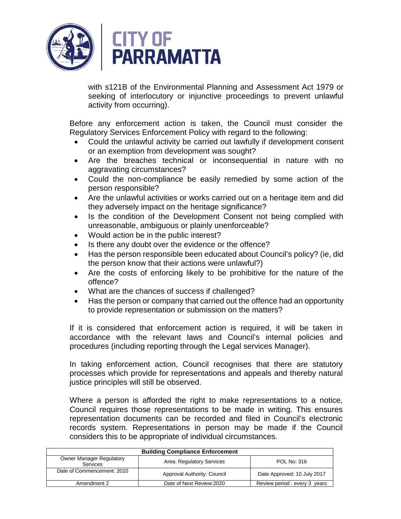

with s121B of the Environmental Planning and Assessment Act 1979 or seeking of interlocutory or injunctive proceedings to prevent unlawful activity from occurring).

Before any enforcement action is taken, the Council must consider the Regulatory Services Enforcement Policy with regard to the following:

- Could the unlawful activity be carried out lawfully if development consent or an exemption from development was sought?
- Are the breaches technical or inconsequential in nature with no aggravating circumstances?
- Could the non-compliance be easily remedied by some action of the person responsible?
- Are the unlawful activities or works carried out on a heritage item and did they adversely impact on the heritage significance?
- Is the condition of the Development Consent not being complied with unreasonable, ambiguous or plainly unenforceable?
- Would action be in the public interest?
- Is there any doubt over the evidence or the offence?
- Has the person responsible been educated about Council's policy? (ie, did the person know that their actions were unlawful?)
- Are the costs of enforcing likely to be prohibitive for the nature of the offence?
- What are the chances of success if challenged?
- Has the person or company that carried out the offence had an opportunity to provide representation or submission on the matters?

If it is considered that enforcement action is required, it will be taken in accordance with the relevant laws and Council's internal policies and procedures (including reporting through the Legal services Manager).

In taking enforcement action, Council recognises that there are statutory processes which provide for representations and appeals and thereby natural justice principles will still be observed.

Where a person is afforded the right to make representations to a notice, Council requires those representations to be made in writing. This ensures representation documents can be recorded and filed in Council's electronic records system. Representations in person may be made if the Council considers this to be appropriate of individual circumstances.

| <b>Building Compliance Enforcement</b>             |                             |                              |
|----------------------------------------------------|-----------------------------|------------------------------|
| <b>Owner Manager Regulatory</b><br><b>Services</b> | Area: Regulatory Services   | POL No: 316                  |
| Date of Commencement: 2010                         | Approval Authority: Council | Date Approved: 10 July 2017  |
| Amendment 2                                        | Date of Next Review: 2020   | Review period: every 3 years |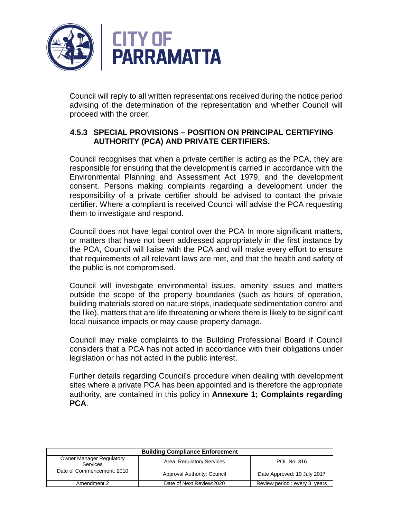

Council will reply to all written representations received during the notice period advising of the determination of the representation and whether Council will proceed with the order.

### **4.5.3 SPECIAL PROVISIONS – POSITION ON PRINCIPAL CERTIFYING AUTHORITY (PCA) AND PRIVATE CERTIFIERS.**

Council recognises that when a private certifier is acting as the PCA, they are responsible for ensuring that the development is carried in accordance with the Environmental Planning and Assessment Act 1979, and the development consent. Persons making complaints regarding a development under the responsibility of a private certifier should be advised to contact the private certifier. Where a compliant is received Council will advise the PCA requesting them to investigate and respond.

Council does not have legal control over the PCA In more significant matters, or matters that have not been addressed appropriately in the first instance by the PCA, Council will liaise with the PCA and will make every effort to ensure that requirements of all relevant laws are met, and that the health and safety of the public is not compromised.

Council will investigate environmental issues, amenity issues and matters outside the scope of the property boundaries (such as hours of operation, building materials stored on nature strips, inadequate sedimentation control and the like), matters that are life threatening or where there is likely to be significant local nuisance impacts or may cause property damage.

Council may make complaints to the Building Professional Board if Council considers that a PCA has not acted in accordance with their obligations under legislation or has not acted in the public interest.

Further details regarding Council's procedure when dealing with development sites where a private PCA has been appointed and is therefore the appropriate authority, are contained in this policy in **Annexure 1; Complaints regarding PCA**.

| <b>Building Compliance Enforcement</b>             |                             |                              |
|----------------------------------------------------|-----------------------------|------------------------------|
| <b>Owner Manager Regulatory</b><br><b>Services</b> | Area: Regulatory Services   | POL No: 316                  |
| Date of Commencement: 2010                         | Approval Authority: Council | Date Approved: 10 July 2017  |
| Amendment 2                                        | Date of Next Review: 2020   | Review period: every 3 years |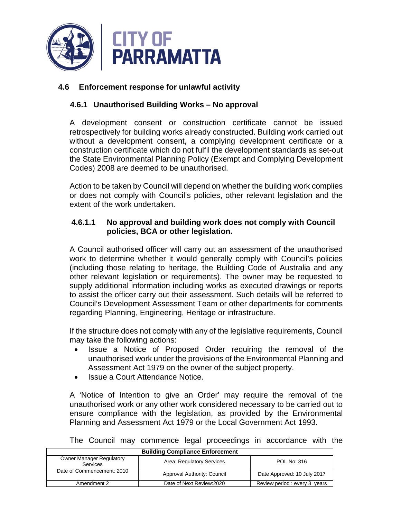

### **4.6 Enforcement response for unlawful activity**

### **4.6.1 Unauthorised Building Works – No approval**

A development consent or construction certificate cannot be issued retrospectively for building works already constructed. Building work carried out without a development consent, a complying development certificate or a construction certificate which do not fulfil the development standards as set-out the State Environmental Planning Policy (Exempt and Complying Development Codes) 2008 are deemed to be unauthorised.

Action to be taken by Council will depend on whether the building work complies or does not comply with Council's policies, other relevant legislation and the extent of the work undertaken.

#### **4.6.1.1 No approval and building work does not comply with Council policies, BCA or other legislation.**

A Council authorised officer will carry out an assessment of the unauthorised work to determine whether it would generally comply with Council's policies (including those relating to heritage, the Building Code of Australia and any other relevant legislation or requirements). The owner may be requested to supply additional information including works as executed drawings or reports to assist the officer carry out their assessment. Such details will be referred to Council's Development Assessment Team or other departments for comments regarding Planning, Engineering, Heritage or infrastructure.

If the structure does not comply with any of the legislative requirements, Council may take the following actions:

- Issue a Notice of Proposed Order requiring the removal of the unauthorised work under the provisions of the Environmental Planning and Assessment Act 1979 on the owner of the subject property.
- Issue a Court Attendance Notice.

A 'Notice of Intention to give an Order' may require the removal of the unauthorised work or any other work considered necessary to be carried out to ensure compliance with the legislation, as provided by the Environmental Planning and Assessment Act 1979 or the Local Government Act 1993.

| <b>Building Compliance Enforcement</b>      |                             |                              |
|---------------------------------------------|-----------------------------|------------------------------|
| <b>Owner Manager Regulatory</b><br>Services | Area: Regulatory Services   | POL No: 316                  |
| Date of Commencement: 2010                  | Approval Authority: Council | Date Approved: 10 July 2017  |
| Amendment 2                                 | Date of Next Review: 2020   | Review period: every 3 years |

The Council may commence legal proceedings in accordance with the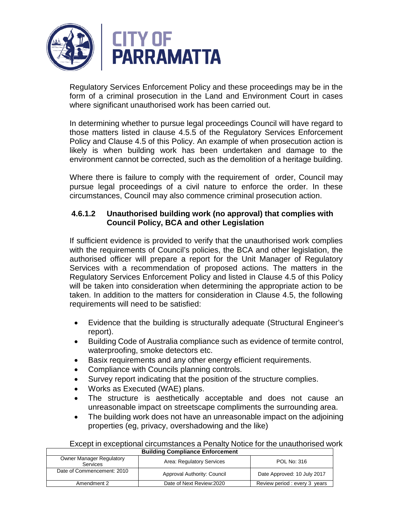

Regulatory Services Enforcement Policy and these proceedings may be in the form of a criminal prosecution in the Land and Environment Court in cases where significant unauthorised work has been carried out.

In determining whether to pursue legal proceedings Council will have regard to those matters listed in clause 4.5.5 of the Regulatory Services Enforcement Policy and Clause 4.5 of this Policy. An example of when prosecution action is likely is when building work has been undertaken and damage to the environment cannot be corrected, such as the demolition of a heritage building.

Where there is failure to comply with the requirement of order, Council may pursue legal proceedings of a civil nature to enforce the order. In these circumstances, Council may also commence criminal prosecution action.

## **4.6.1.2 Unauthorised building work (no approval) that complies with Council Policy, BCA and other Legislation**

If sufficient evidence is provided to verify that the unauthorised work complies with the requirements of Council's policies, the BCA and other legislation, the authorised officer will prepare a report for the Unit Manager of Regulatory Services with a recommendation of proposed actions. The matters in the Regulatory Services Enforcement Policy and listed in Clause 4.5 of this Policy will be taken into consideration when determining the appropriate action to be taken. In addition to the matters for consideration in Clause 4.5, the following requirements will need to be satisfied:

- Evidence that the building is structurally adequate (Structural Engineer's report).
- Building Code of Australia compliance such as evidence of termite control, waterproofing, smoke detectors etc.
- Basix requirements and any other energy efficient requirements.
- Compliance with Councils planning controls.
- Survey report indicating that the position of the structure complies.
- Works as Executed (WAE) plans.
- The structure is aesthetically acceptable and does not cause an unreasonable impact on streetscape compliments the surrounding area.
- The building work does not have an unreasonable impact on the adjoining properties (eg, privacy, overshadowing and the like)

| Except in exceptional circumstances a Penalty Notice for the unauthorised work |  |
|--------------------------------------------------------------------------------|--|
| <b>Building Compliance Enforcement</b>                                         |  |

| <b>Danality Compliance Employment</b>       |                             |                              |
|---------------------------------------------|-----------------------------|------------------------------|
| <b>Owner Manager Regulatory</b><br>Services | Area: Regulatory Services   | POL No: 316                  |
| Date of Commencement: 2010                  | Approval Authority: Council | Date Approved: 10 July 2017  |
| Amendment 2                                 | Date of Next Review: 2020   | Review period: every 3 years |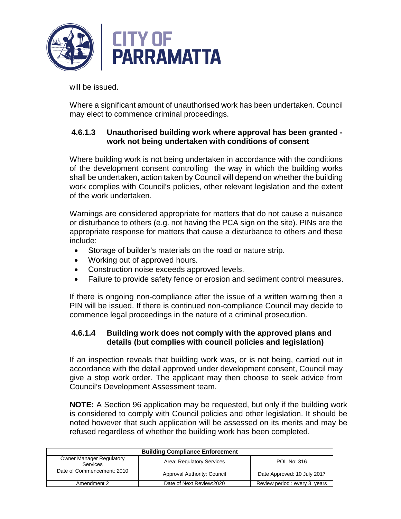

will be issued.

Where a significant amount of unauthorised work has been undertaken. Council may elect to commence criminal proceedings.

### **4.6.1.3 Unauthorised building work where approval has been granted work not being undertaken with conditions of consent**

Where building work is not being undertaken in accordance with the conditions of the development consent controlling the way in which the building works shall be undertaken, action taken by Council will depend on whether the building work complies with Council's policies, other relevant legislation and the extent of the work undertaken.

Warnings are considered appropriate for matters that do not cause a nuisance or disturbance to others (e.g. not having the PCA sign on the site). PINs are the appropriate response for matters that cause a disturbance to others and these include:

- Storage of builder's materials on the road or nature strip.
- Working out of approved hours.
- Construction noise exceeds approved levels.
- Failure to provide safety fence or erosion and sediment control measures.

If there is ongoing non-compliance after the issue of a written warning then a PIN will be issued. If there is continued non-compliance Council may decide to commence legal proceedings in the nature of a criminal prosecution.

#### **4.6.1.4 Building work does not comply with the approved plans and details (but complies with council policies and legislation)**

If an inspection reveals that building work was, or is not being, carried out in accordance with the detail approved under development consent, Council may give a stop work order. The applicant may then choose to seek advice from Council's Development Assessment team.

**NOTE:** A Section 96 application may be requested, but only if the building work is considered to comply with Council policies and other legislation. It should be noted however that such application will be assessed on its merits and may be refused regardless of whether the building work has been completed.

| <b>Building Compliance Enforcement</b>             |                             |                              |
|----------------------------------------------------|-----------------------------|------------------------------|
| <b>Owner Manager Regulatory</b><br><b>Services</b> | Area: Regulatory Services   | POL No: 316                  |
| Date of Commencement: 2010                         | Approval Authority: Council | Date Approved: 10 July 2017  |
| Amendment 2                                        | Date of Next Review: 2020   | Review period: every 3 years |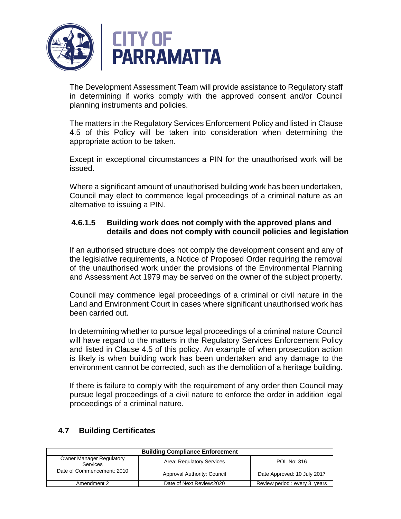

The Development Assessment Team will provide assistance to Regulatory staff in determining if works comply with the approved consent and/or Council planning instruments and policies.

The matters in the Regulatory Services Enforcement Policy and listed in Clause 4.5 of this Policy will be taken into consideration when determining the appropriate action to be taken.

Except in exceptional circumstances a PIN for the unauthorised work will be issued.

Where a significant amount of unauthorised building work has been undertaken, Council may elect to commence legal proceedings of a criminal nature as an alternative to issuing a PIN.

### **4.6.1.5 Building work does not comply with the approved plans and details and does not comply with council policies and legislation**

If an authorised structure does not comply the development consent and any of the legislative requirements, a Notice of Proposed Order requiring the removal of the unauthorised work under the provisions of the Environmental Planning and Assessment Act 1979 may be served on the owner of the subject property.

Council may commence legal proceedings of a criminal or civil nature in the Land and Environment Court in cases where significant unauthorised work has been carried out.

In determining whether to pursue legal proceedings of a criminal nature Council will have regard to the matters in the Regulatory Services Enforcement Policy and listed in Clause 4.5 of this policy. An example of when prosecution action is likely is when building work has been undertaken and any damage to the environment cannot be corrected, such as the demolition of a heritage building.

If there is failure to comply with the requirement of any order then Council may pursue legal proceedings of a civil nature to enforce the order in addition legal proceedings of a criminal nature.

| <b>Building Compliance Enforcement</b>      |                             |                              |
|---------------------------------------------|-----------------------------|------------------------------|
| <b>Owner Manager Regulatory</b><br>Services | Area: Regulatory Services   | POL No: 316                  |
| Date of Commencement: 2010                  | Approval Authority: Council | Date Approved: 10 July 2017  |
| Amendment 2                                 | Date of Next Review: 2020   | Review period: every 3 years |

## **4.7 Building Certificates**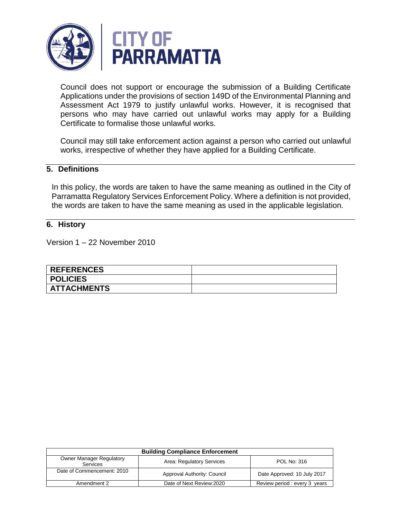

Council does not support or encourage the submission of a Building Certificate Applications under the provisions of section 149D of the Environmental Planning and Assessment Act 1979 to justify unlawful works. However, it is recognised that persons who may have carried out unlawful works may apply for a Building Certificate to formalise those unlawful works.

Council may still take enforcement action against a person who carried out unlawful works, irrespective of whether they have applied for a Building Certificate.

#### **5. Definitions**

In this policy, the words are taken to have the same meaning as outlined in the City of Parramatta Regulatory Services Enforcement Policy. Where a definition is not provided, the words are taken to have the same meaning as used in the applicable legislation.

#### **6. History**

Version 1 – 22 November 2010

| <b>REFERENCES</b>  |  |
|--------------------|--|
| <b>POLICIES</b>    |  |
| <b>ATTACHMENTS</b> |  |

| <b>Building Compliance Enforcement</b>      |                             |                              |
|---------------------------------------------|-----------------------------|------------------------------|
| <b>Owner Manager Regulatory</b><br>Services | Area: Regulatory Services   | POL No: 316                  |
| Date of Commencement: 2010                  | Approval Authority: Council | Date Approved: 10 July 2017  |
| Amendment 2                                 | Date of Next Review: 2020   | Review period: every 3 years |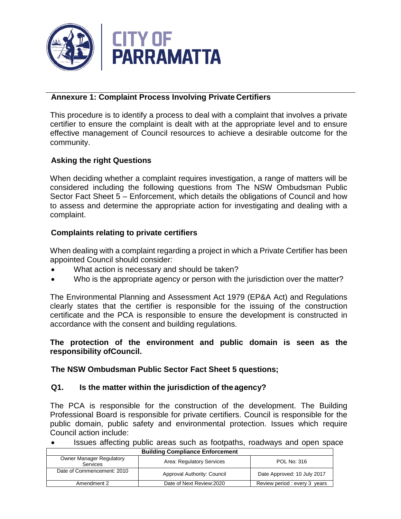

## **Annexure 1: Complaint Process Involving Private Certifiers**

This procedure is to identify a process to deal with a complaint that involves a private certifier to ensure the complaint is dealt with at the appropriate level and to ensure effective management of Council resources to achieve a desirable outcome for the community.

# **Asking the right Questions**

When deciding whether a complaint requires investigation, a range of matters will be considered including the following questions from The NSW Ombudsman Public Sector Fact Sheet 5 – Enforcement, which details the obligations of Council and how to assess and determine the appropriate action for investigating and dealing with a complaint.

## **Complaints relating to private certifiers**

When dealing with a complaint regarding a project in which a Private Certifier has been appointed Council should consider:

- What action is necessary and should be taken?
- Who is the appropriate agency or person with the jurisdiction over the matter?

The Environmental Planning and Assessment Act 1979 (EP&A Act) and Regulations clearly states that the certifier is responsible for the issuing of the construction certificate and the PCA is responsible to ensure the development is constructed in accordance with the consent and building regulations.

### **The protection of the environment and public domain is seen as the responsibility ofCouncil.**

## **The NSW Ombudsman Public Sector Fact Sheet 5 questions;**

#### **Q1. Is the matter within the jurisdiction of the agency?**

The PCA is responsible for the construction of the development. The Building Professional Board is responsible for private certifiers. Council is responsible for the public domain, public safety and environmental protection. Issues which require Council action include:

**Building Compliance Enforcement**  • Issues affecting public areas such as footpaths, roadways and open space

| <b>Building Compliance Emorgeniem</b>       |                             |                              |
|---------------------------------------------|-----------------------------|------------------------------|
| <b>Owner Manager Regulatory</b><br>Services | Area: Regulatory Services   | POL No: 316                  |
| Date of Commencement: 2010                  | Approval Authority: Council | Date Approved: 10 July 2017  |
| Amendment 2                                 | Date of Next Review: 2020   | Review period: every 3 years |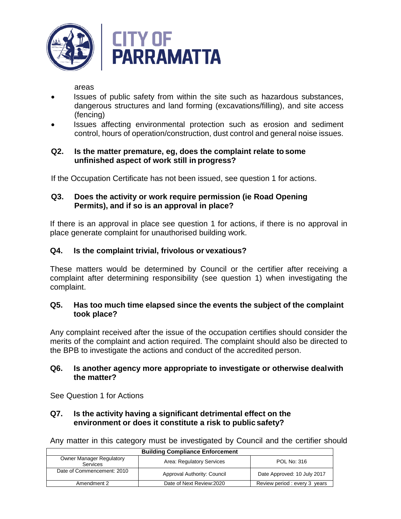

areas

- Issues of public safety from within the site such as hazardous substances, dangerous structures and land forming (excavations/filling), and site access (fencing)
- Issues affecting environmental protection such as erosion and sediment control, hours of operation/construction, dust control and general noise issues.

#### **Q2. Is the matter premature, eg, does the complaint relate to some unfinished aspect of work still in progress?**

If the Occupation Certificate has not been issued, see question 1 for actions.

### **Q3. Does the activity or work require permission (ie Road Opening Permits), and if so is an approval in place?**

If there is an approval in place see question 1 for actions, if there is no approval in place generate complaint for unauthorised building work.

## **Q4. Is the complaint trivial, frivolous or vexatious?**

These matters would be determined by Council or the certifier after receiving a complaint after determining responsibility (see question 1) when investigating the complaint.

### **Q5. Has too much time elapsed since the events the subject of the complaint took place?**

Any complaint received after the issue of the occupation certifies should consider the merits of the complaint and action required. The complaint should also be directed to the BPB to investigate the actions and conduct of the accredited person.

#### **Q6. Is another agency more appropriate to investigate or otherwise dealwith the matter?**

See Question 1 for Actions

## **Q7. Is the activity having a significant detrimental effect on the environment or does it constitute a risk to public safety?**

Any matter in this category must be investigated by Council and the certifier should

| <b>Building Compliance Enforcement</b>             |                             |                              |
|----------------------------------------------------|-----------------------------|------------------------------|
| <b>Owner Manager Regulatory</b><br><b>Services</b> | Area: Regulatory Services   | POL No: 316                  |
| Date of Commencement: 2010                         | Approval Authority: Council | Date Approved: 10 July 2017  |
| Amendment 2                                        | Date of Next Review: 2020   | Review period: every 3 years |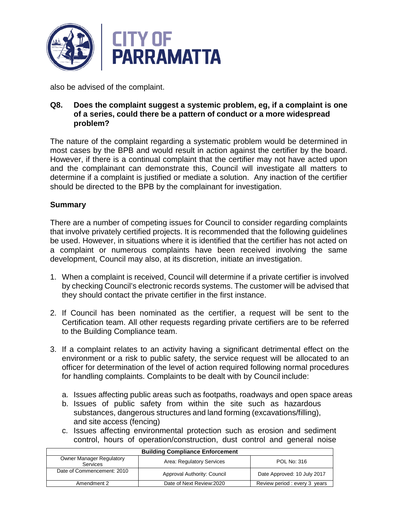

also be advised of the complaint.

#### **Q8. Does the complaint suggest a systemic problem, eg, if a complaint is one of a series, could there be a pattern of conduct or a more widespread problem?**

The nature of the complaint regarding a systematic problem would be determined in most cases by the BPB and would result in action against the certifier by the board. However, if there is a continual complaint that the certifier may not have acted upon and the complainant can demonstrate this, Council will investigate all matters to determine if a complaint is justified or mediate a solution. Any inaction of the certifier should be directed to the BPB by the complainant for investigation.

## **Summary**

There are a number of competing issues for Council to consider regarding complaints that involve privately certified projects. It is recommended that the following guidelines be used. However, in situations where it is identified that the certifier has not acted on a complaint or numerous complaints have been received involving the same development, Council may also, at its discretion, initiate an investigation.

- 1. When a complaint is received, Council will determine if a private certifier is involved by checking Council's electronic records systems. The customer will be advised that they should contact the private certifier in the first instance.
- 2. If Council has been nominated as the certifier, a request will be sent to the Certification team. All other requests regarding private certifiers are to be referred to the Building Compliance team.
- 3. If a complaint relates to an activity having a significant detrimental effect on the environment or a risk to public safety, the service request will be allocated to an officer for determination of the level of action required following normal procedures for handling complaints. Complaints to be dealt with by Council include:
	- a. Issues affecting public areas such as footpaths, roadways and open space areas
	- b. Issues of public safety from within the site such as hazardous substances, dangerous structures and land forming (excavations/filling), and site access (fencing)
	- c. Issues affecting environmental protection such as erosion and sediment control, hours of operation/construction, dust control and general noise

| <b>Building Compliance Enforcement</b>             |                             |                              |
|----------------------------------------------------|-----------------------------|------------------------------|
| <b>Owner Manager Regulatory</b><br><b>Services</b> | Area: Regulatory Services   | POL No: 316                  |
| Date of Commencement: 2010                         | Approval Authority: Council | Date Approved: 10 July 2017  |
| Amendment 2                                        | Date of Next Review: 2020   | Review period: every 3 years |